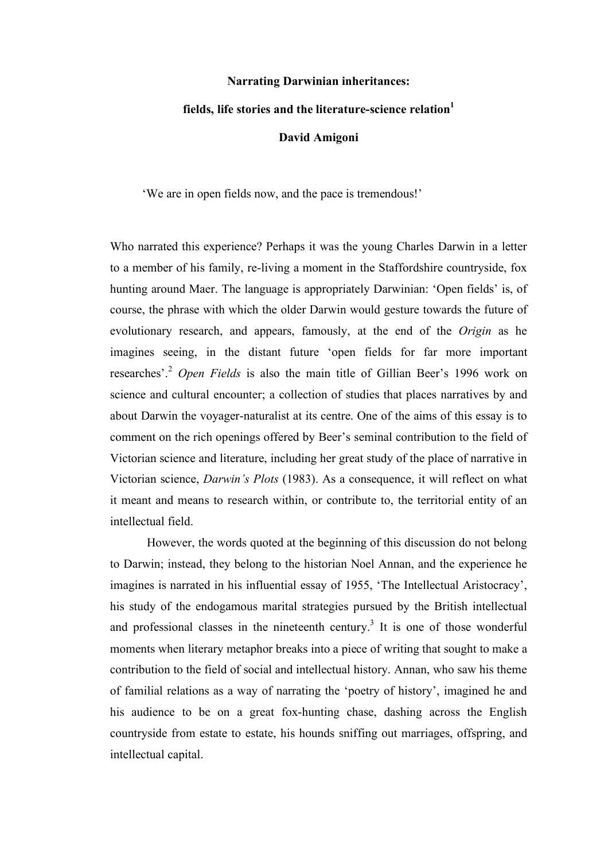# **Narrating Darwinian inheritances:**

# **fields, life stories and the literature-science relation<sup>1</sup>**

#### **David Amigoni**

'We are in open fields now, and the pace is tremendous!'

Who narrated this experience? Perhaps it was the young Charles Darwin in a letter to a member of his family, re-living a moment in the Staffordshire countryside, fox hunting around Maer. The language is appropriately Darwinian: 'Open fields' is, of course, the phrase with which the older Darwin would gesture towards the future of evolutionary research, and appears, famously, at the end of the *Origin* as he imagines seeing, in the distant future 'open fields for far more important researches'. <sup>2</sup> *Open Fields* is also the main title of Gillian Beer's 1996 work on science and cultural encounter; a collection of studies that places narratives by and about Darwin the voyager-naturalist at its centre. One of the aims of this essay is to comment on the rich openings offered by Beer's seminal contribution to the field of Victorian science and literature, including her great study of the place of narrative in Victorian science, *Darwin's Plots* (1983). As a consequence, it will reflect on what it meant and means to research within, or contribute to, the territorial entity of an intellectual field.

However, the words quoted at the beginning of this discussion do not belong to Darwin; instead, they belong to the historian Noel Annan, and the experience he imagines is narrated in his influential essay of 1955, 'The Intellectual Aristocracy', his study of the endogamous marital strategies pursued by the British intellectual and professional classes in the nineteenth century.<sup>3</sup> It is one of those wonderful moments when literary metaphor breaks into a piece of writing that sought to make a contribution to the field of social and intellectual history. Annan, who saw his theme of familial relations as a way of narrating the 'poetry of history', imagined he and his audience to be on a great fox-hunting chase, dashing across the English countryside from estate to estate, his hounds sniffing out marriages, offspring, and intellectual capital.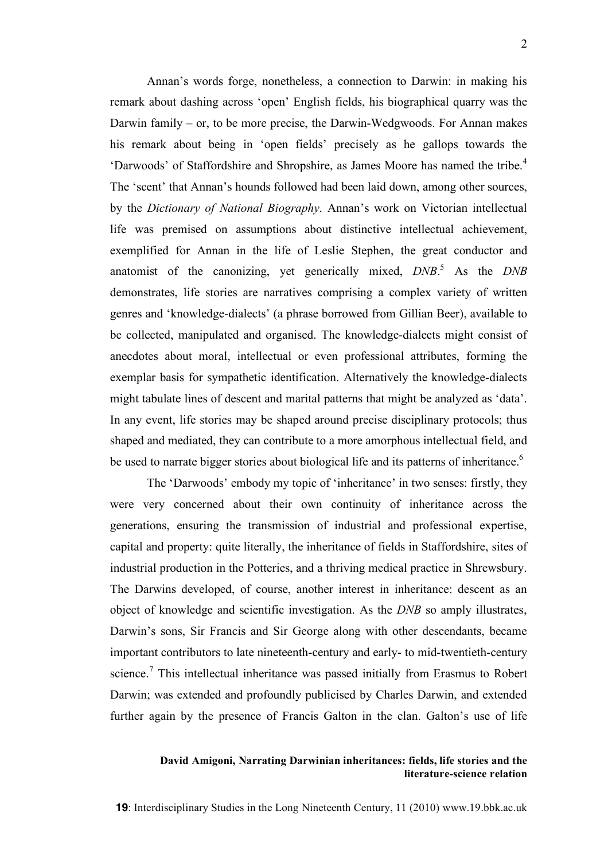Annan's words forge, nonetheless, a connection to Darwin: in making his remark about dashing across 'open' English fields, his biographical quarry was the Darwin family – or, to be more precise, the Darwin-Wedgwoods. For Annan makes his remark about being in 'open fields' precisely as he gallops towards the 'Darwoods' of Staffordshire and Shropshire, as James Moore has named the tribe. 4 The 'scent' that Annan's hounds followed had been laid down, among other sources, by the *Dictionary of National Biography*. Annan's work on Victorian intellectual life was premised on assumptions about distinctive intellectual achievement, exemplified for Annan in the life of Leslie Stephen, the great conductor and anatomist of the canonizing, yet generically mixed, *DNB*. <sup>5</sup> As the *DNB* demonstrates, life stories are narratives comprising a complex variety of written genres and 'knowledge-dialects' (a phrase borrowed from Gillian Beer), available to be collected, manipulated and organised. The knowledge-dialects might consist of anecdotes about moral, intellectual or even professional attributes, forming the exemplar basis for sympathetic identification. Alternatively the knowledge-dialects might tabulate lines of descent and marital patterns that might be analyzed as 'data'. In any event, life stories may be shaped around precise disciplinary protocols; thus shaped and mediated, they can contribute to a more amorphous intellectual field, and be used to narrate bigger stories about biological life and its patterns of inheritance.<sup>6</sup>

The 'Darwoods' embody my topic of 'inheritance' in two senses: firstly, they were very concerned about their own continuity of inheritance across the generations, ensuring the transmission of industrial and professional expertise, capital and property: quite literally, the inheritance of fields in Staffordshire, sites of industrial production in the Potteries, and a thriving medical practice in Shrewsbury. The Darwins developed, of course, another interest in inheritance: descent as an object of knowledge and scientific investigation. As the *DNB* so amply illustrates, Darwin's sons, Sir Francis and Sir George along with other descendants, became important contributors to late nineteenth-century and early- to mid-twentieth-century science.<sup>7</sup> This intellectual inheritance was passed initially from Erasmus to Robert Darwin; was extended and profoundly publicised by Charles Darwin, and extended further again by the presence of Francis Galton in the clan. Galton's use of life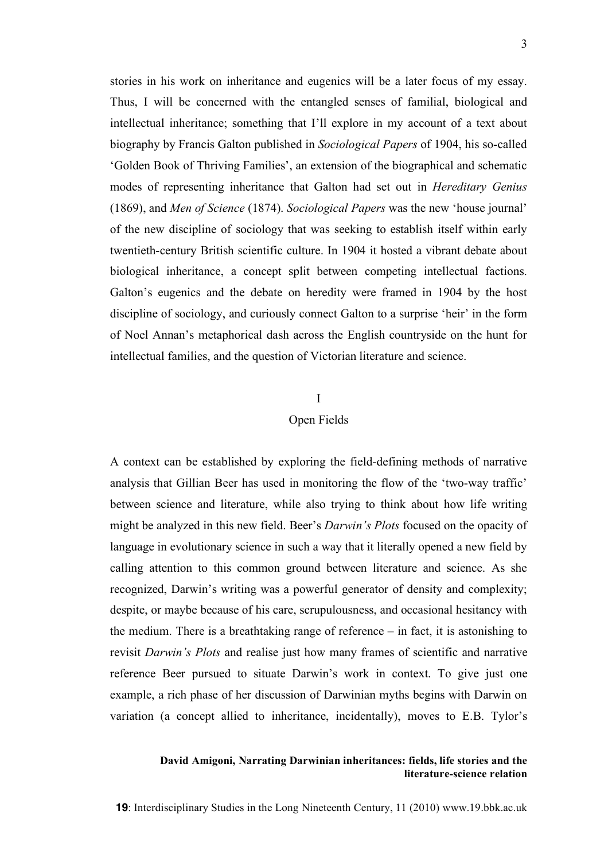stories in his work on inheritance and eugenics will be a later focus of my essay. Thus, I will be concerned with the entangled senses of familial, biological and intellectual inheritance; something that I'll explore in my account of a text about biography by Francis Galton published in *Sociological Papers* of 1904, his so-called 'Golden Book of Thriving Families', an extension of the biographical and schematic modes of representing inheritance that Galton had set out in *Hereditary Genius* (1869), and *Men of Science* (1874). *Sociological Papers* was the new 'house journal' of the new discipline of sociology that was seeking to establish itself within early twentieth-century British scientific culture. In 1904 it hosted a vibrant debate about biological inheritance, a concept split between competing intellectual factions. Galton's eugenics and the debate on heredity were framed in 1904 by the host discipline of sociology, and curiously connect Galton to a surprise 'heir' in the form of Noel Annan's metaphorical dash across the English countryside on the hunt for intellectual families, and the question of Victorian literature and science.

#### I

#### Open Fields

A context can be established by exploring the field-defining methods of narrative analysis that Gillian Beer has used in monitoring the flow of the 'two-way traffic' between science and literature, while also trying to think about how life writing might be analyzed in this new field. Beer's *Darwin's Plots* focused on the opacity of language in evolutionary science in such a way that it literally opened a new field by calling attention to this common ground between literature and science. As she recognized, Darwin's writing was a powerful generator of density and complexity; despite, or maybe because of his care, scrupulousness, and occasional hesitancy with the medium. There is a breathtaking range of reference – in fact, it is astonishing to revisit *Darwin's Plots* and realise just how many frames of scientific and narrative reference Beer pursued to situate Darwin's work in context. To give just one example, a rich phase of her discussion of Darwinian myths begins with Darwin on variation (a concept allied to inheritance, incidentally), moves to E.B. Tylor's

#### **David Amigoni, Narrating Darwinian inheritances: fields, life stories and the literature-science relation**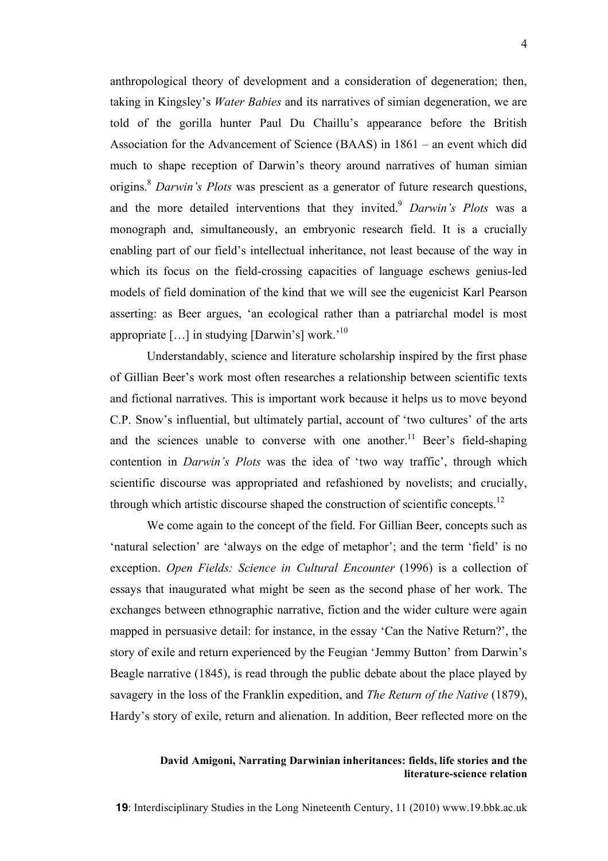anthropological theory of development and a consideration of degeneration; then, taking in Kingsley's *Water Babies* and its narratives of simian degeneration, we are told of the gorilla hunter Paul Du Chaillu's appearance before the British Association for the Advancement of Science (BAAS) in 1861 – an event which did much to shape reception of Darwin's theory around narratives of human simian origins. <sup>8</sup> *Darwin's Plots* was prescient as a generator of future research questions, and the more detailed interventions that they invited.<sup>9</sup> *Darwin's Plots* was a monograph and, simultaneously, an embryonic research field. It is a crucially enabling part of our field's intellectual inheritance, not least because of the way in which its focus on the field-crossing capacities of language eschews genius-led models of field domination of the kind that we will see the eugenicist Karl Pearson asserting: as Beer argues, 'an ecological rather than a patriarchal model is most appropriate  $[...]$  in studying  $[Darwin's]$  work.<sup>'10</sup>

Understandably, science and literature scholarship inspired by the first phase of Gillian Beer's work most often researches a relationship between scientific texts and fictional narratives. This is important work because it helps us to move beyond C.P. Snow's influential, but ultimately partial, account of 'two cultures' of the arts and the sciences unable to converse with one another.<sup>11</sup> Beer's field-shaping contention in *Darwin's Plots* was the idea of 'two way traffic', through which scientific discourse was appropriated and refashioned by novelists; and crucially, through which artistic discourse shaped the construction of scientific concepts.<sup>12</sup>

We come again to the concept of the field. For Gillian Beer, concepts such as 'natural selection' are 'always on the edge of metaphor'; and the term 'field' is no exception. *Open Fields: Science in Cultural Encounter* (1996) is a collection of essays that inaugurated what might be seen as the second phase of her work. The exchanges between ethnographic narrative, fiction and the wider culture were again mapped in persuasive detail: for instance, in the essay 'Can the Native Return?', the story of exile and return experienced by the Feugian 'Jemmy Button' from Darwin's Beagle narrative (1845), is read through the public debate about the place played by savagery in the loss of the Franklin expedition, and *The Return of the Native* (1879), Hardy's story of exile, return and alienation. In addition, Beer reflected more on the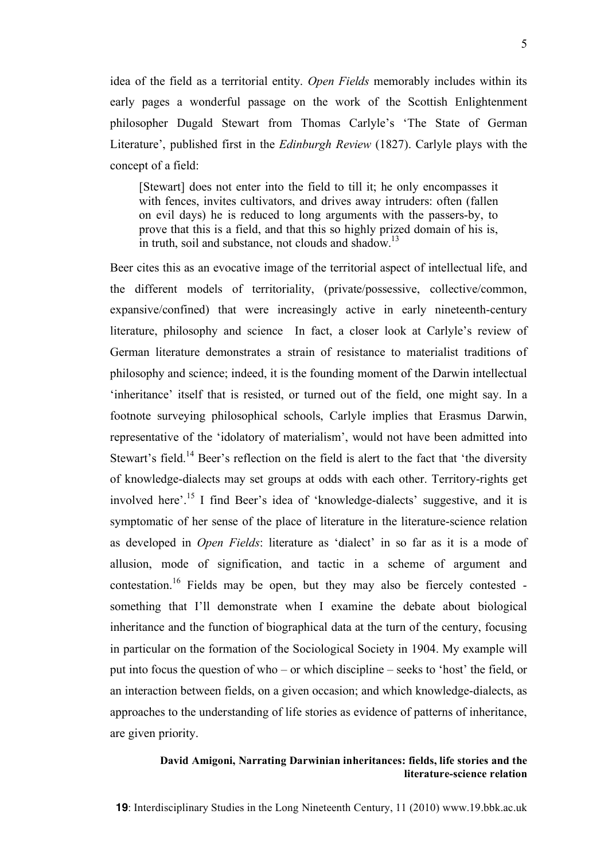idea of the field as a territorial entity. *Open Fields* memorably includes within its early pages a wonderful passage on the work of the Scottish Enlightenment philosopher Dugald Stewart from Thomas Carlyle's 'The State of German Literature', published first in the *Edinburgh Review* (1827). Carlyle plays with the concept of a field:

[Stewart] does not enter into the field to till it; he only encompasses it with fences, invites cultivators, and drives away intruders: often (fallen on evil days) he is reduced to long arguments with the passers-by, to prove that this is a field, and that this so highly prized domain of his is, in truth, soil and substance, not clouds and shadow.<sup>13</sup>

Beer cites this as an evocative image of the territorial aspect of intellectual life, and the different models of territoriality, (private/possessive, collective/common, expansive/confined) that were increasingly active in early nineteenth-century literature, philosophy and science In fact, a closer look at Carlyle's review of German literature demonstrates a strain of resistance to materialist traditions of philosophy and science; indeed, it is the founding moment of the Darwin intellectual 'inheritance' itself that is resisted, or turned out of the field, one might say. In a footnote surveying philosophical schools, Carlyle implies that Erasmus Darwin, representative of the 'idolatory of materialism', would not have been admitted into Stewart's field.<sup>14</sup> Beer's reflection on the field is alert to the fact that 'the diversity of knowledge-dialects may set groups at odds with each other. Territory-rights get involved here'. <sup>15</sup> I find Beer's idea of 'knowledge-dialects' suggestive, and it is symptomatic of her sense of the place of literature in the literature-science relation as developed in *Open Fields*: literature as 'dialect' in so far as it is a mode of allusion, mode of signification, and tactic in a scheme of argument and contestation. <sup>16</sup> Fields may be open, but they may also be fiercely contested something that I'll demonstrate when I examine the debate about biological inheritance and the function of biographical data at the turn of the century, focusing in particular on the formation of the Sociological Society in 1904. My example will put into focus the question of who – or which discipline – seeks to 'host' the field, or an interaction between fields, on a given occasion; and which knowledge-dialects, as approaches to the understanding of life stories as evidence of patterns of inheritance, are given priority.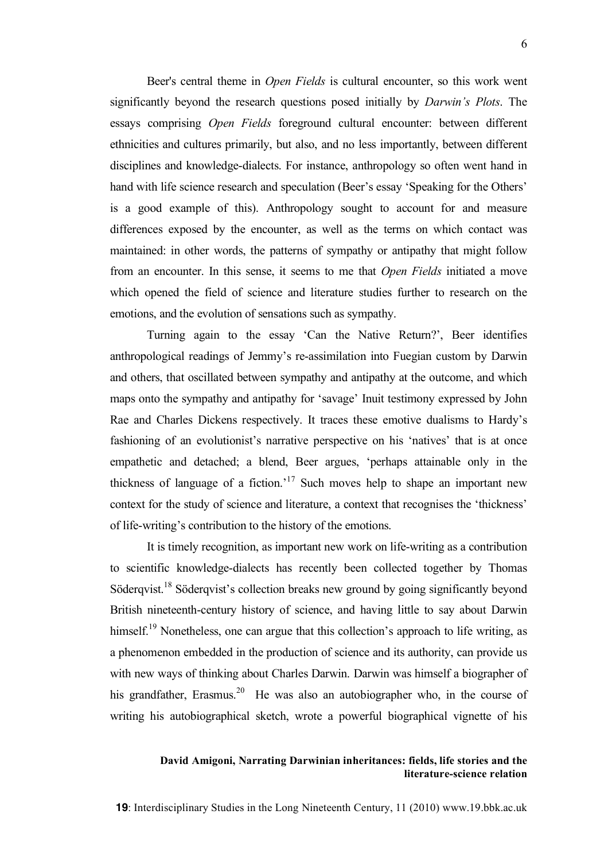Beer's central theme in *Open Fields* is cultural encounter, so this work went significantly beyond the research questions posed initially by *Darwin's Plots*. The essays comprising *Open Fields* foreground cultural encounter: between different ethnicities and cultures primarily, but also, and no less importantly, between different disciplines and knowledge-dialects. For instance, anthropology so often went hand in hand with life science research and speculation (Beer's essay 'Speaking for the Others' is a good example of this). Anthropology sought to account for and measure differences exposed by the encounter, as well as the terms on which contact was maintained: in other words, the patterns of sympathy or antipathy that might follow from an encounter. In this sense, it seems to me that *Open Fields* initiated a move which opened the field of science and literature studies further to research on the emotions, and the evolution of sensations such as sympathy.

Turning again to the essay 'Can the Native Return?', Beer identifies anthropological readings of Jemmy's re-assimilation into Fuegian custom by Darwin and others, that oscillated between sympathy and antipathy at the outcome, and which maps onto the sympathy and antipathy for 'savage' Inuit testimony expressed by John Rae and Charles Dickens respectively. It traces these emotive dualisms to Hardy's fashioning of an evolutionist's narrative perspective on his 'natives' that is at once empathetic and detached; a blend, Beer argues, 'perhaps attainable only in the thickness of language of a fiction.<sup>17</sup> Such moves help to shape an important new context for the study of science and literature, a context that recognises the 'thickness' of life-writing's contribution to the history of the emotions.

It is timely recognition, as important new work on life-writing as a contribution to scientific knowledge-dialects has recently been collected together by Thomas Söderqvist.<sup>18</sup> Söderqvist's collection breaks new ground by going significantly beyond British nineteenth-century history of science, and having little to say about Darwin himself.<sup>19</sup> Nonetheless, one can argue that this collection's approach to life writing, as a phenomenon embedded in the production of science and its authority, can provide us with new ways of thinking about Charles Darwin. Darwin was himself a biographer of his grandfather, Erasmus.<sup>20</sup> He was also an autobiographer who, in the course of writing his autobiographical sketch, wrote a powerful biographical vignette of his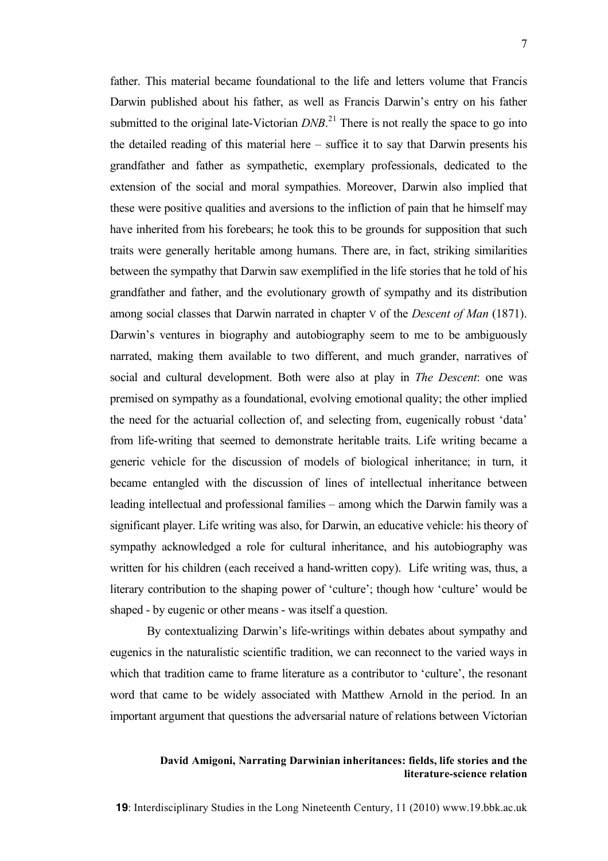father. This material became foundational to the life and letters volume that Francis Darwin published about his father, as well as Francis Darwin's entry on his father submitted to the original late-Victorian  $DNB$ <sup>21</sup>. There is not really the space to go into the detailed reading of this material here – suffice it to say that Darwin presents his grandfather and father as sympathetic, exemplary professionals, dedicated to the extension of the social and moral sympathies. Moreover, Darwin also implied that these were positive qualities and aversions to the infliction of pain that he himself may have inherited from his forebears; he took this to be grounds for supposition that such traits were generally heritable among humans. There are, in fact, striking similarities between the sympathy that Darwin saw exemplified in the life stories that he told of his grandfather and father, and the evolutionary growth of sympathy and its distribution among social classes that Darwin narrated in chapter V of the *Descent of Man* (1871). Darwin's ventures in biography and autobiography seem to me to be ambiguously narrated, making them available to two different, and much grander, narratives of social and cultural development. Both were also at play in *The Descent*: one was premised on sympathy as a foundational, evolving emotional quality; the other implied the need for the actuarial collection of, and selecting from, eugenically robust 'data' from life-writing that seemed to demonstrate heritable traits. Life writing became a generic vehicle for the discussion of models of biological inheritance; in turn, it became entangled with the discussion of lines of intellectual inheritance between leading intellectual and professional families – among which the Darwin family was a significant player. Life writing was also, for Darwin, an educative vehicle: his theory of sympathy acknowledged a role for cultural inheritance, and his autobiography was written for his children (each received a hand-written copy). Life writing was, thus, a literary contribution to the shaping power of 'culture'; though how 'culture' would be shaped - by eugenic or other means - was itself a question.

By contextualizing Darwin's life-writings within debates about sympathy and eugenics in the naturalistic scientific tradition, we can reconnect to the varied ways in which that tradition came to frame literature as a contributor to 'culture', the resonant word that came to be widely associated with Matthew Arnold in the period. In an important argument that questions the adversarial nature of relations between Victorian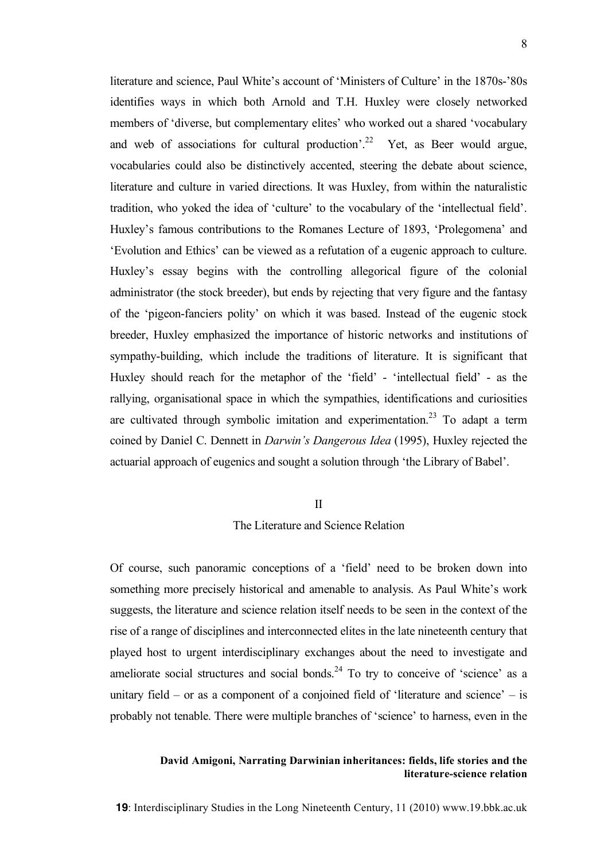literature and science, Paul White's account of 'Ministers of Culture' in the 1870s-'80s identifies ways in which both Arnold and T.H. Huxley were closely networked members of 'diverse, but complementary elites' who worked out a shared 'vocabulary and web of associations for cultural production'.<sup>22</sup> Yet, as Beer would argue, vocabularies could also be distinctively accented, steering the debate about science, literature and culture in varied directions. It was Huxley, from within the naturalistic tradition, who yoked the idea of 'culture' to the vocabulary of the 'intellectual field'. Huxley's famous contributions to the Romanes Lecture of 1893, 'Prolegomena' and 'Evolution and Ethics' can be viewed as a refutation of a eugenic approach to culture. Huxley's essay begins with the controlling allegorical figure of the colonial administrator (the stock breeder), but ends by rejecting that very figure and the fantasy of the 'pigeon-fanciers polity' on which it was based. Instead of the eugenic stock breeder, Huxley emphasized the importance of historic networks and institutions of sympathy-building, which include the traditions of literature. It is significant that Huxley should reach for the metaphor of the 'field' - 'intellectual field' - as the rallying, organisational space in which the sympathies, identifications and curiosities are cultivated through symbolic imitation and experimentation.<sup>23</sup> To adapt a term coined by Daniel C. Dennett in *Darwin's Dangerous Idea* (1995), Huxley rejected the actuarial approach of eugenics and sought a solution through 'the Library of Babel'.

#### II

# The Literature and Science Relation

Of course, such panoramic conceptions of a 'field' need to be broken down into something more precisely historical and amenable to analysis. As Paul White's work suggests, the literature and science relation itself needs to be seen in the context of the rise of a range of disciplines and interconnected elites in the late nineteenth century that played host to urgent interdisciplinary exchanges about the need to investigate and ameliorate social structures and social bonds.<sup>24</sup> To try to conceive of 'science' as a unitary field – or as a component of a conjoined field of 'literature and science' – is probably not tenable. There were multiple branches of 'science' to harness, even in the

#### **David Amigoni, Narrating Darwinian inheritances: fields, life stories and the literature-science relation**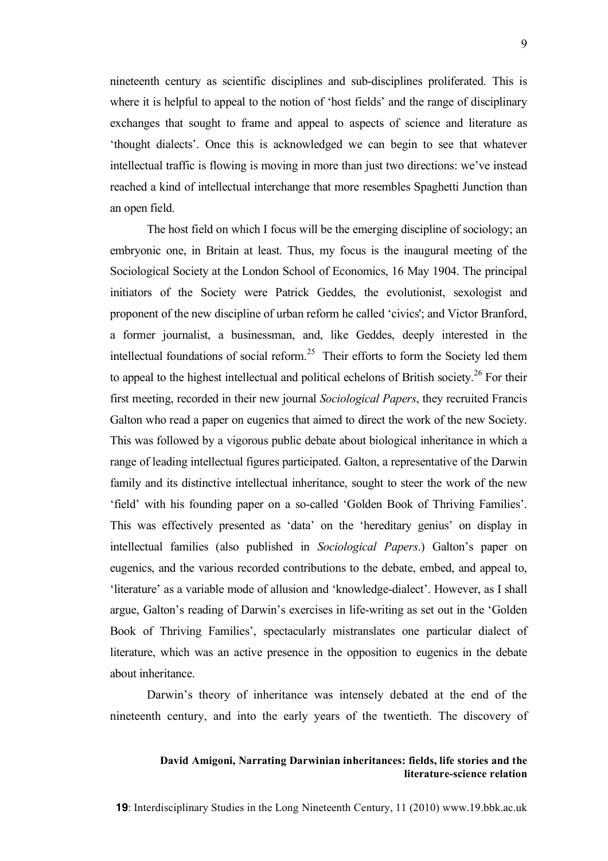nineteenth century as scientific disciplines and sub-disciplines proliferated. This is where it is helpful to appeal to the notion of 'host fields' and the range of disciplinary exchanges that sought to frame and appeal to aspects of science and literature as 'thought dialects'. Once this is acknowledged we can begin to see that whatever intellectual traffic is flowing is moving in more than just two directions: we've instead reached a kind of intellectual interchange that more resembles Spaghetti Junction than an open field.

The host field on which I focus will be the emerging discipline of sociology; an embryonic one, in Britain at least. Thus, my focus is the inaugural meeting of the Sociological Society at the London School of Economics, 16 May 1904. The principal initiators of the Society were Patrick Geddes, the evolutionist, sexologist and proponent of the new discipline of urban reform he called 'civics'; and Victor Branford, a former journalist, a businessman, and, like Geddes, deeply interested in the intellectual foundations of social reform.<sup>25</sup> Their efforts to form the Society led them to appeal to the highest intellectual and political echelons of British society.<sup>26</sup> For their first meeting, recorded in their new journal *Sociological Papers*, they recruited Francis Galton who read a paper on eugenics that aimed to direct the work of the new Society. This was followed by a vigorous public debate about biological inheritance in which a range of leading intellectual figures participated. Galton, a representative of the Darwin family and its distinctive intellectual inheritance, sought to steer the work of the new 'field' with his founding paper on a so-called 'Golden Book of Thriving Families'. This was effectively presented as 'data' on the 'hereditary genius' on display in intellectual families (also published in *Sociological Papers*.) Galton's paper on eugenics, and the various recorded contributions to the debate, embed, and appeal to, 'literature' as a variable mode of allusion and 'knowledge-dialect'. However, as I shall argue, Galton's reading of Darwin's exercises in life-writing as set out in the 'Golden Book of Thriving Families', spectacularly mistranslates one particular dialect of literature, which was an active presence in the opposition to eugenics in the debate about inheritance.

Darwin's theory of inheritance was intensely debated at the end of the nineteenth century, and into the early years of the twentieth. The discovery of

# **David Amigoni, Narrating Darwinian inheritances: fields, life stories and the literature-science relation**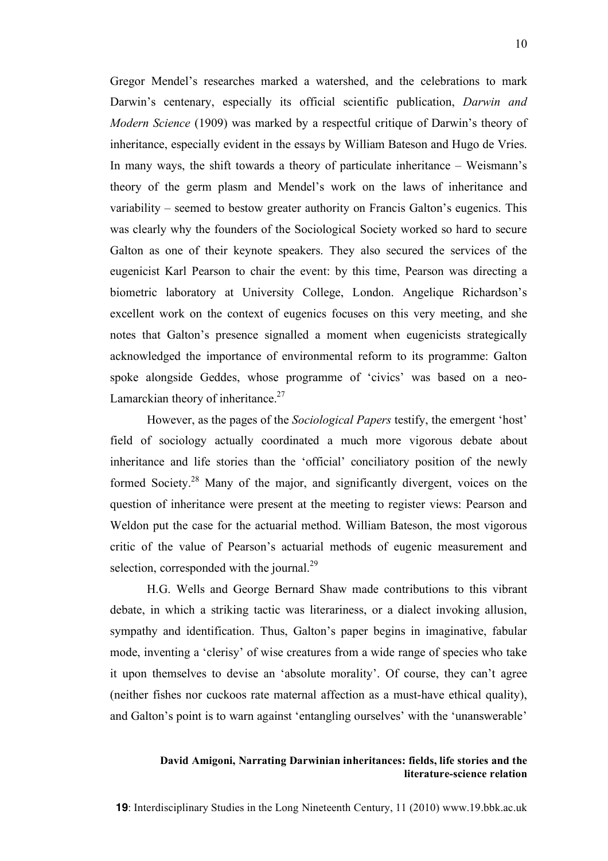Gregor Mendel's researches marked a watershed, and the celebrations to mark Darwin's centenary, especially its official scientific publication, *Darwin and Modern Science* (1909) was marked by a respectful critique of Darwin's theory of inheritance, especially evident in the essays by William Bateson and Hugo de Vries. In many ways, the shift towards a theory of particulate inheritance – Weismann's theory of the germ plasm and Mendel's work on the laws of inheritance and variability – seemed to bestow greater authority on Francis Galton's eugenics. This was clearly why the founders of the Sociological Society worked so hard to secure Galton as one of their keynote speakers. They also secured the services of the eugenicist Karl Pearson to chair the event: by this time, Pearson was directing a biometric laboratory at University College, London. Angelique Richardson's excellent work on the context of eugenics focuses on this very meeting, and she notes that Galton's presence signalled a moment when eugenicists strategically acknowledged the importance of environmental reform to its programme: Galton spoke alongside Geddes, whose programme of 'civics' was based on a neo-Lamarckian theory of inheritance.<sup>27</sup>

However, as the pages of the *Sociological Papers* testify, the emergent 'host' field of sociology actually coordinated a much more vigorous debate about inheritance and life stories than the 'official' conciliatory position of the newly formed Society.<sup>28</sup> Many of the major, and significantly divergent, voices on the question of inheritance were present at the meeting to register views: Pearson and Weldon put the case for the actuarial method. William Bateson, the most vigorous critic of the value of Pearson's actuarial methods of eugenic measurement and selection, corresponded with the journal.<sup>29</sup>

H.G. Wells and George Bernard Shaw made contributions to this vibrant debate, in which a striking tactic was literariness, or a dialect invoking allusion, sympathy and identification. Thus, Galton's paper begins in imaginative, fabular mode, inventing a 'clerisy' of wise creatures from a wide range of species who take it upon themselves to devise an 'absolute morality'. Of course, they can't agree (neither fishes nor cuckoos rate maternal affection as a must-have ethical quality), and Galton's point is to warn against 'entangling ourselves' with the 'unanswerable'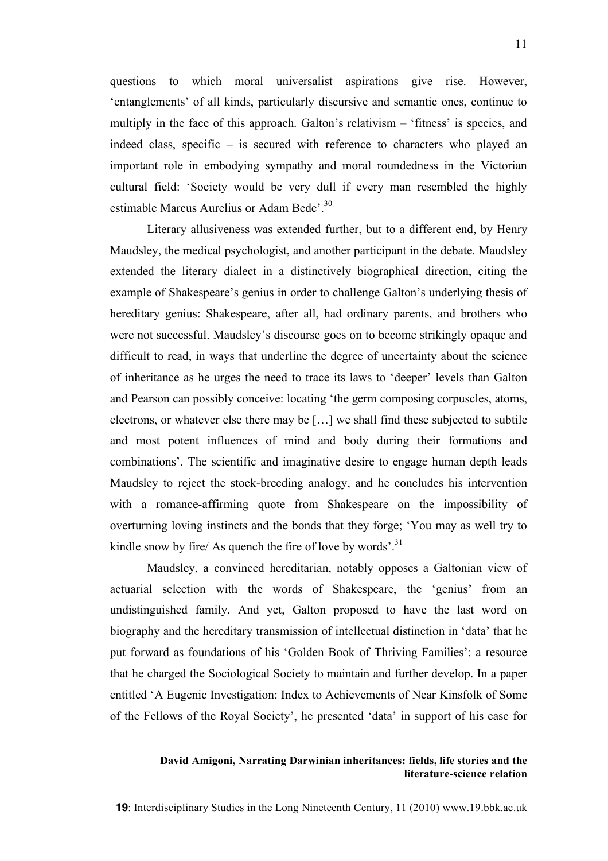questions to which moral universalist aspirations give rise. However, 'entanglements' of all kinds, particularly discursive and semantic ones, continue to multiply in the face of this approach. Galton's relativism – 'fitness' is species, and indeed class, specific – is secured with reference to characters who played an important role in embodying sympathy and moral roundedness in the Victorian cultural field: 'Society would be very dull if every man resembled the highly estimable Marcus Aurelius or Adam Bede'.<sup>30</sup>

Literary allusiveness was extended further, but to a different end, by Henry Maudsley, the medical psychologist, and another participant in the debate. Maudsley extended the literary dialect in a distinctively biographical direction, citing the example of Shakespeare's genius in order to challenge Galton's underlying thesis of hereditary genius: Shakespeare, after all, had ordinary parents, and brothers who were not successful. Maudsley's discourse goes on to become strikingly opaque and difficult to read, in ways that underline the degree of uncertainty about the science of inheritance as he urges the need to trace its laws to 'deeper' levels than Galton and Pearson can possibly conceive: locating 'the germ composing corpuscles, atoms, electrons, or whatever else there may be […] we shall find these subjected to subtile and most potent influences of mind and body during their formations and combinations'. The scientific and imaginative desire to engage human depth leads Maudsley to reject the stock-breeding analogy, and he concludes his intervention with a romance-affirming quote from Shakespeare on the impossibility of overturning loving instincts and the bonds that they forge; 'You may as well try to kindle snow by fire/ As quench the fire of love by words'.<sup>31</sup>

Maudsley, a convinced hereditarian, notably opposes a Galtonian view of actuarial selection with the words of Shakespeare, the 'genius' from an undistinguished family. And yet, Galton proposed to have the last word on biography and the hereditary transmission of intellectual distinction in 'data' that he put forward as foundations of his 'Golden Book of Thriving Families': a resource that he charged the Sociological Society to maintain and further develop. In a paper entitled 'A Eugenic Investigation: Index to Achievements of Near Kinsfolk of Some of the Fellows of the Royal Society', he presented 'data' in support of his case for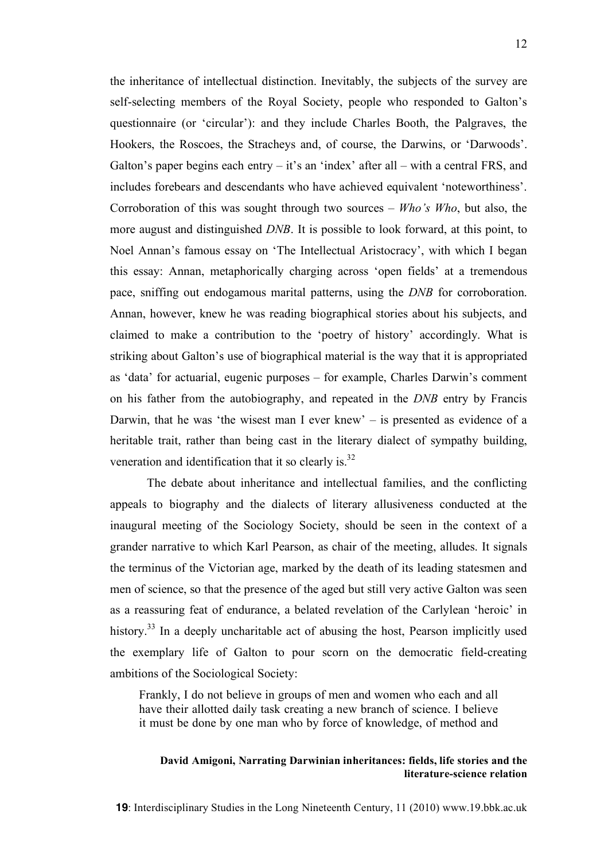the inheritance of intellectual distinction. Inevitably, the subjects of the survey are self-selecting members of the Royal Society, people who responded to Galton's questionnaire (or 'circular'): and they include Charles Booth, the Palgraves, the Hookers, the Roscoes, the Stracheys and, of course, the Darwins, or 'Darwoods'. Galton's paper begins each entry  $-$  it's an 'index' after all  $-$  with a central FRS, and includes forebears and descendants who have achieved equivalent 'noteworthiness'. Corroboration of this was sought through two sources – *Who's Who*, but also, the more august and distinguished *DNB*. It is possible to look forward, at this point, to Noel Annan's famous essay on 'The Intellectual Aristocracy', with which I began this essay: Annan, metaphorically charging across 'open fields' at a tremendous pace, sniffing out endogamous marital patterns, using the *DNB* for corroboration. Annan, however, knew he was reading biographical stories about his subjects, and claimed to make a contribution to the 'poetry of history' accordingly. What is striking about Galton's use of biographical material is the way that it is appropriated as 'data' for actuarial, eugenic purposes – for example, Charles Darwin's comment on his father from the autobiography, and repeated in the *DNB* entry by Francis Darwin, that he was 'the wisest man I ever knew' – is presented as evidence of a heritable trait, rather than being cast in the literary dialect of sympathy building, veneration and identification that it so clearly is.<sup>32</sup>

The debate about inheritance and intellectual families, and the conflicting appeals to biography and the dialects of literary allusiveness conducted at the inaugural meeting of the Sociology Society, should be seen in the context of a grander narrative to which Karl Pearson, as chair of the meeting, alludes. It signals the terminus of the Victorian age, marked by the death of its leading statesmen and men of science, so that the presence of the aged but still very active Galton was seen as a reassuring feat of endurance, a belated revelation of the Carlylean 'heroic' in history.<sup>33</sup> In a deeply uncharitable act of abusing the host, Pearson implicitly used the exemplary life of Galton to pour scorn on the democratic field-creating ambitions of the Sociological Society:

Frankly, I do not believe in groups of men and women who each and all have their allotted daily task creating a new branch of science. I believe it must be done by one man who by force of knowledge, of method and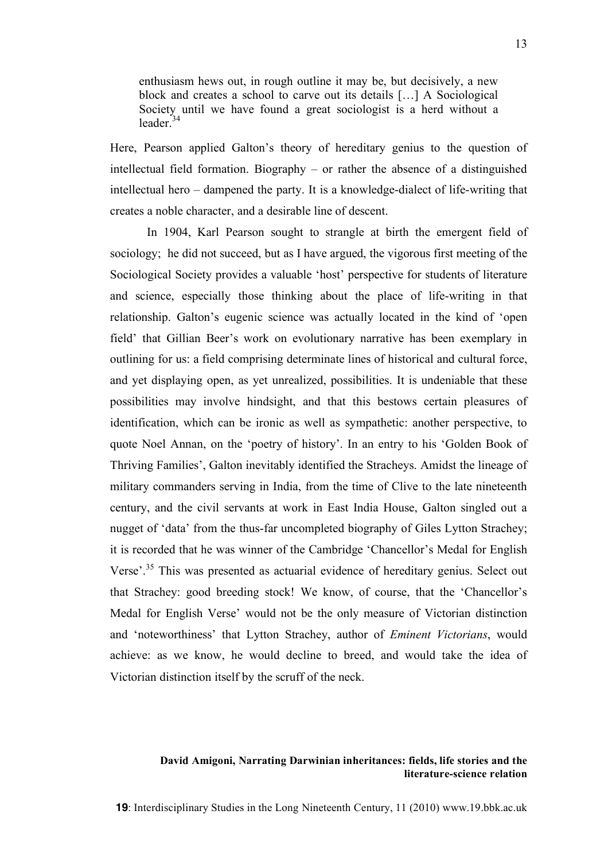enthusiasm hews out, in rough outline it may be, but decisively, a new block and creates a school to carve out its details […] A Sociological Society until we have found a great sociologist is a herd without a leader. 34

Here, Pearson applied Galton's theory of hereditary genius to the question of intellectual field formation. Biography – or rather the absence of a distinguished intellectual hero – dampened the party. It is a knowledge-dialect of life-writing that creates a noble character, and a desirable line of descent.

In 1904, Karl Pearson sought to strangle at birth the emergent field of sociology; he did not succeed, but as I have argued, the vigorous first meeting of the Sociological Society provides a valuable 'host' perspective for students of literature and science, especially those thinking about the place of life-writing in that relationship. Galton's eugenic science was actually located in the kind of 'open field' that Gillian Beer's work on evolutionary narrative has been exemplary in outlining for us: a field comprising determinate lines of historical and cultural force, and yet displaying open, as yet unrealized, possibilities. It is undeniable that these possibilities may involve hindsight, and that this bestows certain pleasures of identification, which can be ironic as well as sympathetic: another perspective, to quote Noel Annan, on the 'poetry of history'. In an entry to his 'Golden Book of Thriving Families', Galton inevitably identified the Stracheys. Amidst the lineage of military commanders serving in India, from the time of Clive to the late nineteenth century, and the civil servants at work in East India House, Galton singled out a nugget of 'data' from the thus-far uncompleted biography of Giles Lytton Strachey; it is recorded that he was winner of the Cambridge 'Chancellor's Medal for English Verse'.<sup>35</sup> This was presented as actuarial evidence of hereditary genius. Select out that Strachey: good breeding stock! We know, of course, that the 'Chancellor's Medal for English Verse' would not be the only measure of Victorian distinction and 'noteworthiness' that Lytton Strachey, author of *Eminent Victorians*, would achieve: as we know, he would decline to breed, and would take the idea of Victorian distinction itself by the scruff of the neck.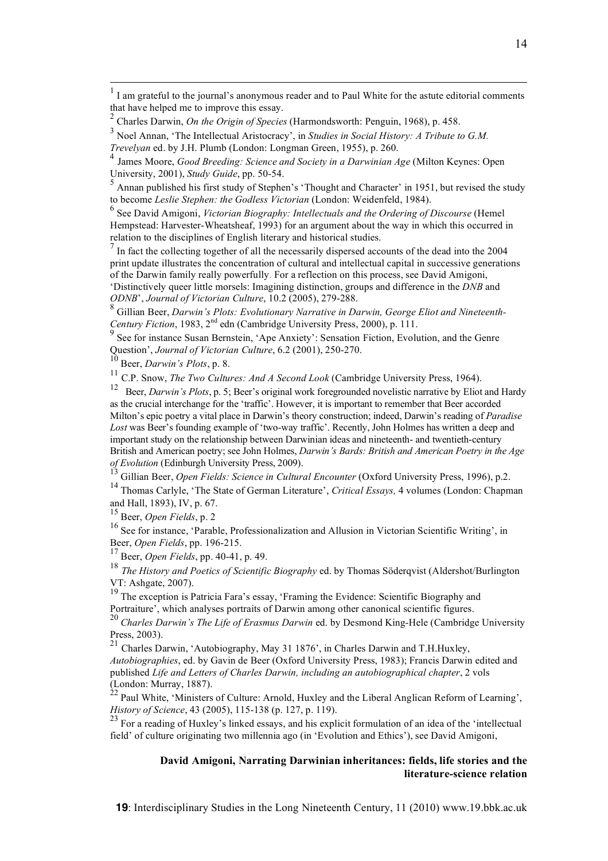print update illustrates the concentration of cultural and intellectual capital in successive generations of the Darwin family really powerfully. For a reflection on this process, see David Amigoni, 'Distinctively queer little morsels: Imagining distinction, groups and difference in the *DNB* and

*ODNB'*, Journal of Victorian Culture, 10.2 (2005), 279-288.<br><sup>8</sup> Gillian Beer, *Darwin's Plots: Evolutionary Narrative in Darwin*, *George Eliot and Nineteenth-*<br>*Century Fiction*. 1983. 2<sup>nd</sup> edn (Cambridge University Pr

<sup>9</sup> See for instance Susan Bernstein, 'Ape Anxiety': Sensation Fiction, Evolution, and the Genre Question', Journal of Victorian Culture, 6.2 (2001), 250-270.<br><sup>10</sup> Beer, *Darwin's Plots*, p. 8.<br><sup>11</sup> C.P. Snow, *The Two Cultures: And A Second Look* (Cambridge University Press, 1964).

<sup>12</sup> Beer, *Darwin's Plots*, p. 5; Beer's original work foregrounded novelistic narrative by Eliot and Hardy as the crucial interchange for the 'traffic'. However, it is important to remember that Beer accorded Milton's epic poetry a vital place in Darwin's theory construction; indeed, Darwin's reading of *Paradise Lost* was Beer's founding example of 'two-way traffic'. Recently, John Holmes has written a deep and important study on the relationship between Darwinian ideas and nineteenth- and twentieth-century British and American poetry; see John Holmes, *Darwin's Bards: British and American Poetry in the Age*

of Evolution (Edinburgh University Press, 2009).<br><sup>13</sup> Gillian Beer, *Open Fields: Science in Cultural Encounter* (Oxford University Press, 1996), p.2.<br><sup>14</sup> Thomas Carlyle, 'The State of German Literature', *Critical Essays* 

<sup>15</sup> Beer, *Open Fields*, p. 2

<sup>16</sup> See for instance, 'Parable, Professionalization and Allusion in Victorian Scientific Writing', in

Beer, Open Fields, pp. 196-215.<br><sup>17</sup> Beer, Open Fields, pp. 40-41, p. 49.<br><sup>18</sup> The History and Poetics of Scientific Biography ed. by Thomas Söderqvist (Aldershot/Burlington

VT: Ashgate, 2007).<br><sup>19</sup> The exception is Patricia Fara's essay, 'Framing the Evidence: Scientific Biography and<br>Portraiture', which analyses portraits of Darwin among other canonical scientific figures.

<sup>20</sup> Charles Darwin's The Life of Erasmus Darwin ed. by Desmond King-Hele (Cambridge University Press, 2003). <sup>21</sup> Charles Darwin, 'Autobiography, May <sup>31</sup> 1876', in Charles Darwin and T.H.Huxley,

*Autobiographies*, ed. by Gavin de Beer (Oxford University Press, 1983); Francis Darwin edited and published *Life and Letters of Charles Darwin, including an autobiographical chapter*, 2 vols (London: Murray, 1887).<br>
<sup>22</sup> Paul White Minister COM

<sup>22</sup> Paul White, 'Ministers of Culture: Arnold, Huxley and the Liberal Anglican Reform of Learning', *History of Science*, 43 (2005), 115-138 (p. 127, p. 119).

<sup>23</sup> For a reading of Huxley's linked essays, and his explicit formulation of an idea of the 'intellectual field' of culture originating two millennia ago (in 'Evolution and Ethics'), see David Amigoni,

# **David Amigoni, Narrating Darwinian inheritances: fields, life stories and the literature-science relation**

 $1$  I am grateful to the journal's anonymous reader and to Paul White for the astute editorial comments that have helped me to improve this essay.

<sup>&</sup>lt;sup>2</sup> Charles Darwin, *On the Origin of Species* (Harmondsworth: Penguin, 1968), p. 458.<br><sup>3</sup> Noel Annan, 'The Intellectual Aristocracy', in *Studies in Social History: A Tribute to G.M. Trevelyan* ed. by J.H. Plumb (London: Longman Green, 1955), p. 260.<br><sup>4</sup> James Moore, *Good Breeding: Science and Society in a Darwinian Age* (Milton Keynes: Open

University, 2001), *Study Guide*, pp. 50-54.<br><sup>5</sup> Annan published his first study of Stephen's 'Thought and Character' in 1951, but revised the study to become *Leslie Stephen: the Godless Victorian* (London: Weidenfeld, 19

 $6$  See David Amigoni, Victorian Biography: Intellectuals and the Ordering of Discourse (Hemel Hempstead: Harvester-Wheatsheaf, 1993) for an argument about the way in which this occurred in relation to the disciplines of English literary and historical studies. <sup>7</sup> In fact the collecting together of all the necessarily dispersed accounts of the dead into the <sup>2004</sup>